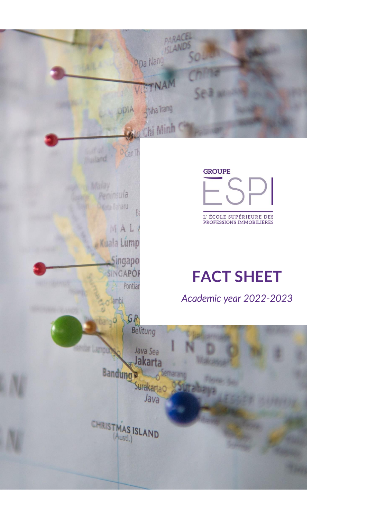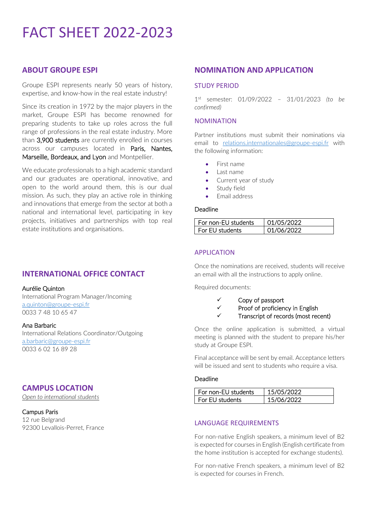# FACT SHEET 2022-2023

## **ABOUT GROUPE ESPI**

Groupe ESPI represents nearly 50 years of history, expertise, and know-how in the real estate industry!

Since its creation in 1972 by the major players in the market, Groupe ESPI has become renowned for preparing students to take up roles across the full range of professions in the real estate industry. More than 3,900 students are currently enrolled in courses across our campuses located in Paris, Nantes, Marseille, Bordeaux, and Lyon and Montpellier.

We educate professionals to a high academic standard and our graduates are operational, innovative, and open to the world around them, this is our dual mission. As such, they play an active role in thinking and innovations that emerge from the sector at both a national and international level, participating in key projects, initiatives and partnerships with top real estate institutions and organisations.

# **INTERNATIONAL OFFICE CONTACT**

#### Aurélie Quinton

International Program Manager/Incoming [a.quinton@groupe-espi.fr](mailto:a.quinton@groupe-espi.fr) 0033 7 48 10 65 47

#### Ana Barbaric

International Relations Coordinator/Outgoing [a.barbaric@groupe-espi.fr](mailto:a.barbaric@groupe-espi.fr) 0033 6 02 16 89 28

# **CAMPUS LOCATION**

*Open to international students* 

#### Campus Paris

12 rue Belgrand 92300 Levallois-Perret, France

## **NOMINATION AND APPLICATION**

## STUDY PERIOD

1 st semester: 01/09/2022 – 31/01/2023 *(to be confirmed)*

#### NOMINATION

Partner institutions must submit their nominations via email to [relations.internationales@groupe-espi.fr](mailto:relations.internationales@groupe-espi.fr) with the following information:

- First name
- Last name
- Current year of study
- Study field
- Email address

#### Deadline

| For non-EU students | 01/05/2022 |
|---------------------|------------|
| l For FU students   | 01/06/2022 |

#### APPLICATION

Once the nominations are received, students will receive an email with all the instructions to apply online.

Required documents:

- ✓ Copy of passport
- ✓ Proof of proficiency in English
- ✓ Transcript of records (most recent)

Once the online application is submitted, a virtual meeting is planned with the student to prepare his/her study at Groupe ESPI.

Final acceptance will be sent by email. Acceptance letters will be issued and sent to students who require a visa.

#### **Deadline**

| l. For non-FU students. | 15/05/2022 |
|-------------------------|------------|
| l For EU students       | 15/06/2022 |

#### LANGUAGE REQUIREMENTS

For non-native English speakers, a minimum level of B2 is expected for courses in English (English certificate from the home institution is accepted for exchange students).

For non-native French speakers, a minimum level of B2 is expected for courses in French.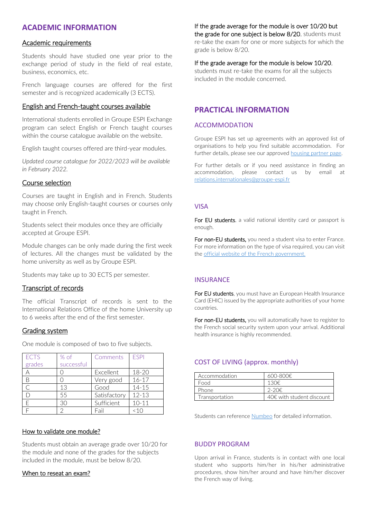# **ACADEMIC INFORMATION**

#### Academic requirements

Students should have studied one year prior to the exchange period of study in the field of real estate, business, economics, etc.

French language courses are offered for the first semester and is recognized academically (3 ECTS).

### English and French-taught courses available

International students enrolled in Groupe ESPI Exchange program can select English or French taught courses within the course catalogue available on the website.

English taught courses offered are third-year modules.

*Updated course catalogue for 2022/2023 will be available in February 2022.*

## Course selection

Courses are taught in English and in French. Students may choose only English-taught courses or courses only taught in French.

Students select their modules once they are officially accepted at Groupe ESPI.

Module changes can be only made during the first week of lectures. All the changes must be validated by the home university as well as by Groupe ESPI.

Students may take up to 30 ECTS per semester.

## Transcript of records

The official Transcript of records is sent to the International Relations Office of the home University up to 6 weeks after the end of the first semester.

#### Grading system

One module is composed of two to five subjects.

| <b>ECTS</b> | % of       | Comments     | <b>FSPI</b> |
|-------------|------------|--------------|-------------|
| grades      | successful |              |             |
|             |            | Excellent    | $18 - 20$   |
|             |            | Very good    | $16 - 17$   |
|             | 13         | Good         | $14 - 15$   |
|             | 55         | Satisfactory | $12 - 13$   |
|             | 30         | Sufficient   | $10 - 11$   |
|             |            | Fail         | <10         |

#### How to validate one module?

Students must obtain an average grade over 10/20 for the module and none of the grades for the subjects included in the module, must be below 8/20.

#### When to reseat an exam?

### If the grade average for the module is over 10/20 but

the grade for one subject is below 8/20, students must re-take the exam for one or more subjects for which the grade is below 8/20.

#### If the grade average for the module is below 10/20,

students must re-take the exams for all the subjects included in the module concerned.

## **PRACTICAL INFORMATION**

#### ACCOMMODATION

Groupe ESPI has set up agreements with an approved list of organisations to help you find suitable accommodation. For further details, please see our approved [housing partner page.](https://groupe-espi.fr/campus/partenaires-logement/)

For further details or if you need assistance in finding an accommodation, please contact us by email at [relations.internationales@groupe-espi.fr](mailto:relations.internationales@groupe-espi.fr)

#### VISA

For EU students, a valid national identity card or passport is enough.

For non-EU students, you need a student visa to enter France. For more information on the type of visa required, you can visit the [official website of the French government.](https://france-visas.gouv.fr/en/web/france-visas)

## **INSURANCE**

For EU students, you must have an European Health Insurance Card (EHIC) issued by the appropriate authorities of your home countries.

For non-EU students, you will automatically have to register to the French social security system upon your arrival. Additional health insurance is highly recommended.

## COST OF LIVING (approx. monthly)

| Accommodation  | 600-800€.                           |
|----------------|-------------------------------------|
| Food           | 130€                                |
| Phone          | $2-20€$                             |
| Transportation | $40 \epsilon$ with student discount |

Students can reference [Numbeo](https://fr.numbeo.com/co%C3%BBt-de-la-vie/pays/France) for detailed information.

#### BUDDY PROGRAM

Upon arrival in France, students is in contact with one local student who supports him/her in his/her administrative procedures, show him/her around and have him/her discover the French way of living.